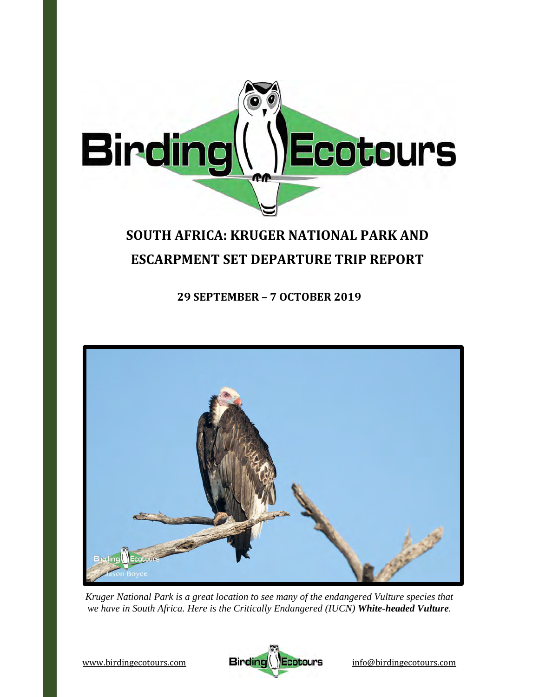

# **SOUTH AFRICA: KRUGER NATIONAL PARK AND ESCARPMENT SET DEPARTURE TRIP REPORT**

**29 SEPTEMBER – 7 OCTOBER 2019**



*Kruger National Park is a great location to see many of the endangered Vulture species that we have in South Africa. Here is the Critically Endangered (IUCN) White-headed Vulture.* 

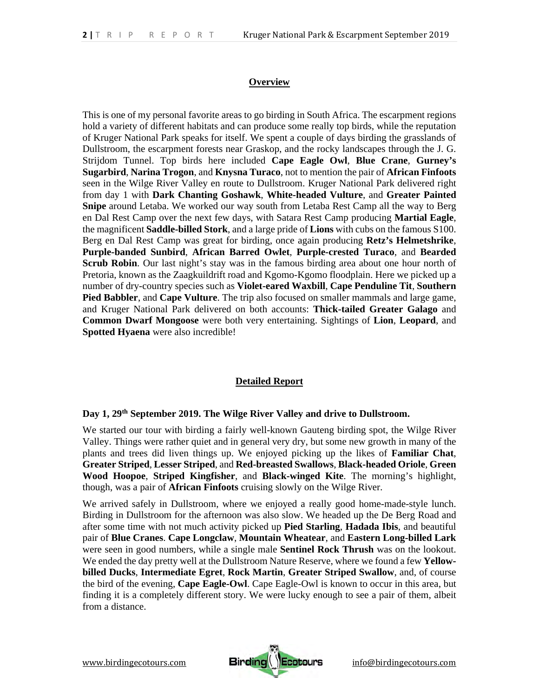# **Overview**

This is one of my personal favorite areas to go birding in South Africa. The escarpment regions hold a variety of different habitats and can produce some really top birds, while the reputation of Kruger National Park speaks for itself. We spent a couple of days birding the grasslands of Dullstroom, the escarpment forests near Graskop, and the rocky landscapes through the J. G. Strijdom Tunnel. Top birds here included **Cape Eagle Owl**, **Blue Crane**, **Gurney's Sugarbird**, **Narina Trogon**, and **Knysna Turaco**, not to mention the pair of **African Finfoots** seen in the Wilge River Valley en route to Dullstroom. Kruger National Park delivered right from day 1 with **Dark Chanting Goshawk**, **White-headed Vulture**, and **Greater Painted Snipe** around Letaba. We worked our way south from Letaba Rest Camp all the way to Berg en Dal Rest Camp over the next few days, with Satara Rest Camp producing **Martial Eagle**, the magnificent **Saddle-billed Stork**, and a large pride of **Lions** with cubs on the famous S100. Berg en Dal Rest Camp was great for birding, once again producing **Retz's Helmetshrike**, **Purple-banded Sunbird**, **African Barred Owlet**, **Purple-crested Turaco**, and **Bearded Scrub Robin**. Our last night's stay was in the famous birding area about one hour north of Pretoria, known as the Zaagkuildrift road and Kgomo-Kgomo floodplain. Here we picked up a number of dry-country species such as **Violet-eared Waxbill**, **Cape Penduline Tit**, **Southern Pied Babbler**, and **Cape Vulture**. The trip also focused on smaller mammals and large game, and Kruger National Park delivered on both accounts: **Thick-tailed Greater Galago** and **Common Dwarf Mongoose** were both very entertaining. Sightings of **Lion**, **Leopard**, and **Spotted Hyaena** were also incredible!

# **Detailed Report**

#### **Day 1, 29th September 2019. The Wilge River Valley and drive to Dullstroom.**

We started our tour with birding a fairly well-known Gauteng birding spot, the Wilge River Valley. Things were rather quiet and in general very dry, but some new growth in many of the plants and trees did liven things up. We enjoyed picking up the likes of **Familiar Chat**, **Greater Striped**, **Lesser Striped**, and **Red-breasted Swallows**, **Black-headed Oriole**, **Green Wood Hoopoe**, **Striped Kingfisher**, and **Black-winged Kite**. The morning's highlight, though, was a pair of **African Finfoots** cruising slowly on the Wilge River.

We arrived safely in Dullstroom, where we enjoyed a really good home-made-style lunch. Birding in Dullstroom for the afternoon was also slow. We headed up the De Berg Road and after some time with not much activity picked up **Pied Starling**, **Hadada Ibis**, and beautiful pair of **Blue Cranes**. **Cape Longclaw**, **Mountain Wheatear**, and **Eastern Long-billed Lark** were seen in good numbers, while a single male **Sentinel Rock Thrush** was on the lookout. We ended the day pretty well at the Dullstroom Nature Reserve, where we found a few **Yellowbilled Ducks**, **Intermediate Egret**, **Rock Martin**, **Greater Striped Swallow**, and, of course the bird of the evening, **Cape Eagle-Owl**. Cape Eagle-Owl is known to occur in this area, but finding it is a completely different story. We were lucky enough to see a pair of them, albeit from a distance.

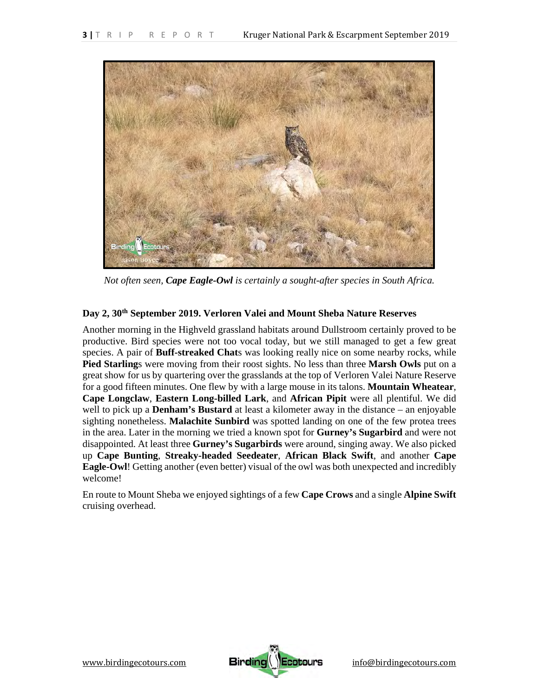

*Not often seen, Cape Eagle-Owl is certainly a sought-after species in South Africa.* 

# **Day 2, 30th September 2019. Verloren Valei and Mount Sheba Nature Reserves**

Another morning in the Highveld grassland habitats around Dullstroom certainly proved to be productive. Bird species were not too vocal today, but we still managed to get a few great species. A pair of **Buff-streaked Chat**s was looking really nice on some nearby rocks, while **Pied Starling**s were moving from their roost sights. No less than three **Marsh Owls** put on a great show for us by quartering over the grasslands at the top of Verloren Valei Nature Reserve for a good fifteen minutes. One flew by with a large mouse in its talons. **Mountain Wheatear**, **Cape Longclaw**, **Eastern Long-billed Lark**, and **African Pipit** were all plentiful. We did well to pick up a **Denham's Bustard** at least a kilometer away in the distance – an enjoyable sighting nonetheless. **Malachite Sunbird** was spotted landing on one of the few protea trees in the area. Later in the morning we tried a known spot for **Gurney's Sugarbird** and were not disappointed. At least three **Gurney's Sugarbirds** were around, singing away. We also picked up **Cape Bunting**, **Streaky-headed Seedeater**, **African Black Swift**, and another **Cape Eagle-Owl**! Getting another (even better) visual of the owl was both unexpected and incredibly welcome!

En route to Mount Sheba we enjoyed sightings of a few **Cape Crows** and a single **Alpine Swift** cruising overhead.

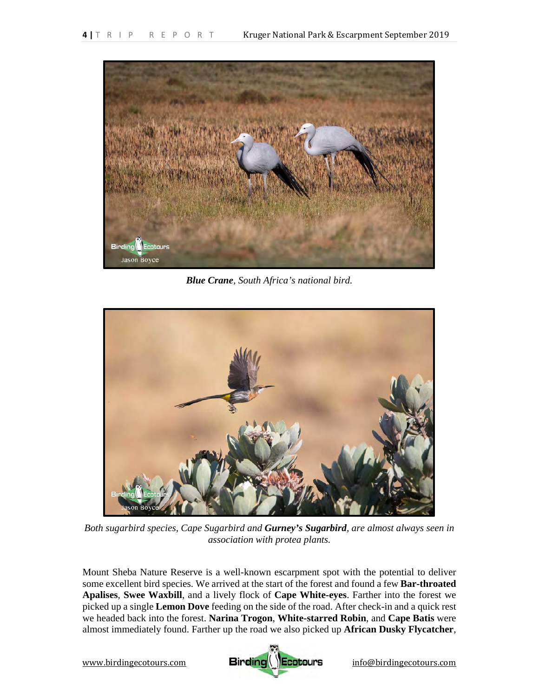

*Blue Crane, South Africa's national bird.* 



*Both sugarbird species, Cape Sugarbird and Gurney's Sugarbird, are almost always seen in association with protea plants.* 

Mount Sheba Nature Reserve is a well-known escarpment spot with the potential to deliver some excellent bird species. We arrived at the start of the forest and found a few **Bar-throated Apalises**, **Swee Waxbill**, and a lively flock of **Cape White-eyes**. Farther into the forest we picked up a single **Lemon Dove** feeding on the side of the road. After check-in and a quick rest we headed back into the forest. **Narina Trogon**, **White-starred Robin**, and **Cape Batis** were almost immediately found. Farther up the road we also picked up **African Dusky Flycatcher**,

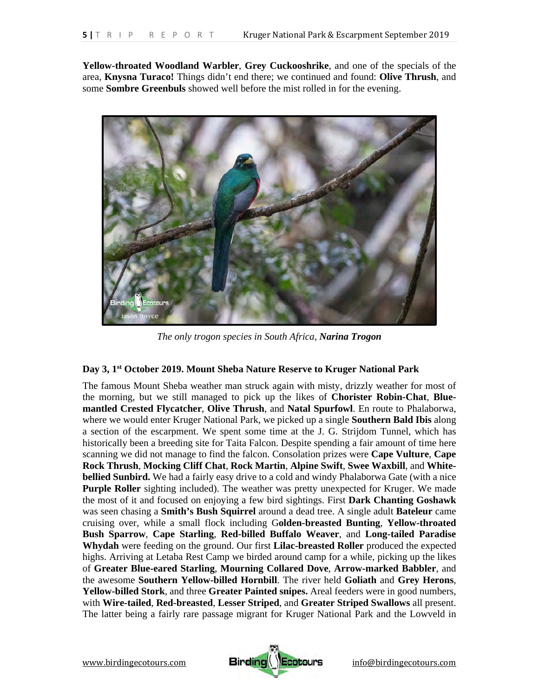**Yellow-throated Woodland Warbler**, **Grey Cuckooshrike**, and one of the specials of the area, **Knysna Turaco!** Things didn't end there; we continued and found: **Olive Thrush**, and some **Sombre Greenbuls** showed well before the mist rolled in for the evening.



*The only trogon species in South Africa, Narina Trogon*

# **Day 3, 1st October 2019. Mount Sheba Nature Reserve to Kruger National Park**

The famous Mount Sheba weather man struck again with misty, drizzly weather for most of the morning, but we still managed to pick up the likes of **Chorister Robin-Chat**, **Bluemantled Crested Flycatcher**, **Olive Thrush**, and **Natal Spurfowl**. En route to Phalaborwa, where we would enter Kruger National Park, we picked up a single **Southern Bald Ibis** along a section of the escarpment. We spent some time at the J. G. Strijdom Tunnel, which has historically been a breeding site for Taita Falcon. Despite spending a fair amount of time here scanning we did not manage to find the falcon. Consolation prizes were **Cape Vulture**, **Cape Rock Thrush**, **Mocking Cliff Chat**, **Rock Martin**, **Alpine Swift**, **Swee Waxbill**, and **Whitebellied Sunbird.** We had a fairly easy drive to a cold and windy Phalaborwa Gate (with a nice **Purple Roller** sighting included). The weather was pretty unexpected for Kruger. We made the most of it and focused on enjoying a few bird sightings. First **Dark Chanting Goshawk** was seen chasing a **Smith's Bush Squirrel** around a dead tree. A single adult **Bateleur** came cruising over, while a small flock including G**olden-breasted Bunting**, **Yellow-throated Bush Sparrow**, **Cape Starling**, **Red-billed Buffalo Weaver**, and **Long-tailed Paradise Whydah** were feeding on the ground. Our first **Lilac-breasted Roller** produced the expected highs. Arriving at Letaba Rest Camp we birded around camp for a while, picking up the likes of **Greater Blue-eared Starling**, **Mourning Collared Dove**, **Arrow-marked Babbler**, and the awesome **Southern Yellow-billed Hornbill**. The river held **Goliath** and **Grey Herons**, **Yellow-billed Stork**, and three **Greater Painted snipes.** Areal feeders were in good numbers, with **Wire-tailed**, **Red-breasted**, **Lesser Striped**, and **Greater Striped Swallows** all present. The latter being a fairly rare passage migrant for Kruger National Park and the Lowveld in

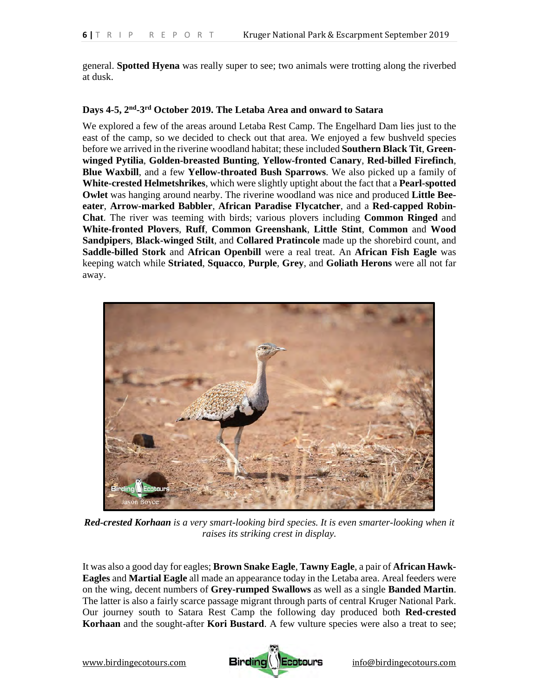general. **Spotted Hyena** was really super to see; two animals were trotting along the riverbed at dusk.

#### **Days 4-5, 2nd-3rd October 2019. The Letaba Area and onward to Satara**

We explored a few of the areas around Letaba Rest Camp. The Engelhard Dam lies just to the east of the camp, so we decided to check out that area. We enjoyed a few bushveld species before we arrived in the riverine woodland habitat; these included **Southern Black Tit**, **Greenwinged Pytilia**, **Golden-breasted Bunting**, **Yellow-fronted Canary**, **Red-billed Firefinch**, **Blue Waxbill**, and a few **Yellow-throated Bush Sparrows**. We also picked up a family of **White-crested Helmetshrikes**, which were slightly uptight about the fact that a **Pearl-spotted Owlet** was hanging around nearby. The riverine woodland was nice and produced **Little Beeeater**, **Arrow-marked Babbler**, **African Paradise Flycatcher**, and a **Red-capped Robin-Chat**. The river was teeming with birds; various plovers including **Common Ringed** and **White-fronted Plovers**, **Ruff**, **Common Greenshank**, **Little Stint**, **Common** and **Wood Sandpipers**, **Black-winged Stilt**, and **Collared Pratincole** made up the shorebird count, and **Saddle-billed Stork** and **African Openbill** were a real treat. An **African Fish Eagle** was keeping watch while **Striated**, **Squacco**, **Purple**, **Grey**, and **Goliath Herons** were all not far away.



*Red-crested Korhaan is a very smart-looking bird species. It is even smarter-looking when it raises its striking crest in display.* 

It was also a good day for eagles; **Brown Snake Eagle**, **Tawny Eagle**, a pair of **African Hawk-Eagles** and **Martial Eagle** all made an appearance today in the Letaba area. Areal feeders were on the wing, decent numbers of **Grey-rumped Swallows** as well as a single **Banded Martin**. The latter is also a fairly scarce passage migrant through parts of central Kruger National Park. Our journey south to Satara Rest Camp the following day produced both **Red-crested Korhaan** and the sought-after **Kori Bustard**. A few vulture species were also a treat to see;

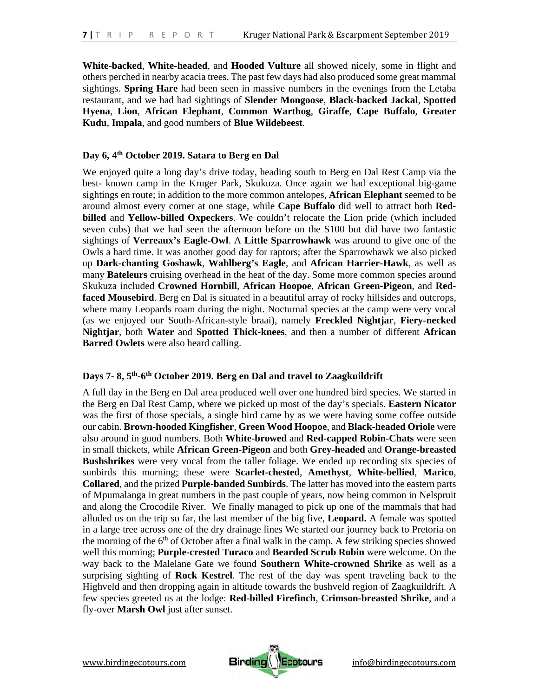**White-backed**, **White-headed**, and **Hooded Vulture** all showed nicely, some in flight and others perched in nearby acacia trees. The past few days had also produced some great mammal sightings. **Spring Hare** had been seen in massive numbers in the evenings from the Letaba restaurant, and we had had sightings of **Slender Mongoose**, **Black-backed Jackal**, **Spotted Hyena**, **Lion**, **African Elephant**, **Common Warthog**, **Giraffe**, **Cape Buffalo**, **Greater Kudu**, **Impala**, and good numbers of **Blue Wildebeest**.

# **Day 6, 4th October 2019. Satara to Berg en Dal**

We enjoyed quite a long day's drive today, heading south to Berg en Dal Rest Camp via the best- known camp in the Kruger Park, Skukuza. Once again we had exceptional big-game sightings en route; in addition to the more common antelopes, **African Elephant** seemed to be around almost every corner at one stage, while **Cape Buffalo** did well to attract both **Redbilled** and **Yellow-billed Oxpeckers**. We couldn't relocate the Lion pride (which included seven cubs) that we had seen the afternoon before on the S100 but did have two fantastic sightings of **Verreaux's Eagle-Owl**. A **Little Sparrowhawk** was around to give one of the Owls a hard time. It was another good day for raptors; after the Sparrowhawk we also picked up **Dark-chanting Goshawk**, **Wahlberg's Eagle**, and **African Harrier-Hawk**, as well as many **Bateleurs** cruising overhead in the heat of the day. Some more common species around Skukuza included **Crowned Hornbill**, **African Hoopoe**, **African Green-Pigeon**, and **Redfaced Mousebird**. Berg en Dal is situated in a beautiful array of rocky hillsides and outcrops, where many Leopards roam during the night. Nocturnal species at the camp were very vocal (as we enjoyed our South-African-style braai), namely **Freckled Nightjar**, **Fiery-necked Nightjar**, both **Water** and **Spotted Thick-knees**, and then a number of different **African Barred Owlets** were also heard calling.

#### **Days 7- 8, 5th-6th October 2019. Berg en Dal and travel to Zaagkuildrift**

A full day in the Berg en Dal area produced well over one hundred bird species. We started in the Berg en Dal Rest Camp, where we picked up most of the day's specials. **Eastern Nicator** was the first of those specials, a single bird came by as we were having some coffee outside our cabin. **Brown-hooded Kingfisher**, **Green Wood Hoopoe**, and **Black-headed Oriole** were also around in good numbers. Both **White-browed** and **Red-capped Robin-Chats** were seen in small thickets, while **African Green-Pigeon** and both **Grey-headed** and **Orange-breasted Bushshrikes** were very vocal from the taller foliage. We ended up recording six species of sunbirds this morning; these were **Scarlet-chested**, **Amethyst**, **White-bellied**, **Marico**, **Collared**, and the prized **Purple-banded Sunbirds**. The latter has moved into the eastern parts of Mpumalanga in great numbers in the past couple of years, now being common in Nelspruit and along the Crocodile River. We finally managed to pick up one of the mammals that had alluded us on the trip so far, the last member of the big five, **Leopard.** A female was spotted in a large tree across one of the dry drainage lines We started our journey back to Pretoria on the morning of the  $6<sup>th</sup>$  of October after a final walk in the camp. A few striking species showed well this morning; **Purple-crested Turaco** and **Bearded Scrub Robin** were welcome. On the way back to the Malelane Gate we found **Southern White-crowned Shrike** as well as a surprising sighting of **Rock Kestrel**. The rest of the day was spent traveling back to the Highveld and then dropping again in altitude towards the bushveld region of Zaagkuildrift. A few species greeted us at the lodge: **Red-billed Firefinch**, **Crimson-breasted Shrike**, and a fly-over **Marsh Owl** just after sunset.

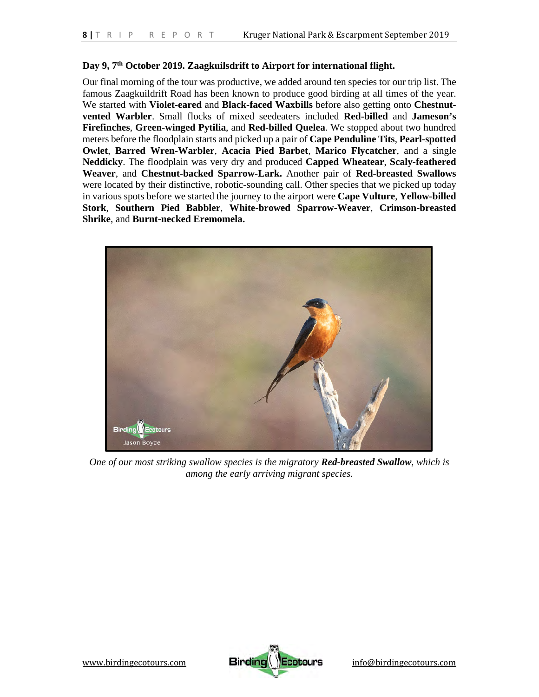# **Day 9, 7th October 2019. Zaagkuilsdrift to Airport for international flight.**

Our final morning of the tour was productive, we added around ten species tor our trip list. The famous Zaagkuildrift Road has been known to produce good birding at all times of the year. We started with **Violet-eared** and **Black-faced Waxbills** before also getting onto **Chestnutvented Warbler**. Small flocks of mixed seedeaters included **Red-billed** and **Jameson's Firefinches**, **Green-winged Pytilia**, and **Red-billed Quelea**. We stopped about two hundred meters before the floodplain starts and picked up a pair of **Cape Penduline Tits**, **Pearl-spotted Owlet**, **Barred Wren-Warbler**, **Acacia Pied Barbet**, **Marico Flycatcher**, and a single **Neddicky**. The floodplain was very dry and produced **Capped Wheatear**, **Scaly-feathered Weaver**, and **Chestnut-backed Sparrow-Lark.** Another pair of **Red-breasted Swallows** were located by their distinctive, robotic-sounding call. Other species that we picked up today in various spots before we started the journey to the airport were **Cape Vulture**, **Yellow-billed Stork**, **Southern Pied Babbler**, **White-browed Sparrow-Weaver**, **Crimson-breasted Shrike**, and **Burnt-necked Eremomela.**



*One of our most striking swallow species is the migratory Red-breasted Swallow, which is among the early arriving migrant species.* 

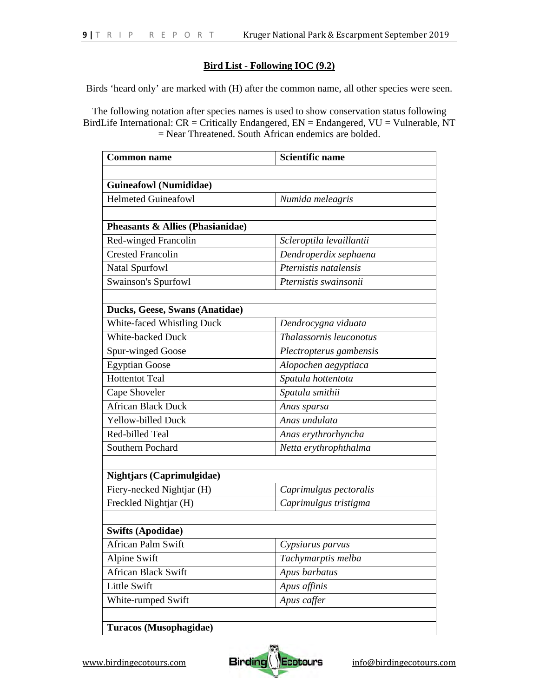# **Bird List** - **Following IOC (9.2)**

Birds 'heard only' are marked with (H) after the common name, all other species were seen.

The following notation after species names is used to show conservation status following BirdLife International: CR = Critically Endangered, EN = Endangered, VU = Vulnerable, NT = Near Threatened. South African endemics are bolded.

| <b>Common name</b>               | <b>Scientific name</b>   |
|----------------------------------|--------------------------|
|                                  |                          |
| <b>Guineafowl</b> (Numididae)    |                          |
| <b>Helmeted Guineafowl</b>       | Numida meleagris         |
|                                  |                          |
| Pheasants & Allies (Phasianidae) |                          |
| Red-winged Francolin             | Scleroptila levaillantii |
| <b>Crested Francolin</b>         | Dendroperdix sephaena    |
| Natal Spurfowl                   | Pternistis natalensis    |
| <b>Swainson's Spurfowl</b>       | Pternistis swainsonii    |
|                                  |                          |
| Ducks, Geese, Swans (Anatidae)   |                          |
| White-faced Whistling Duck       | Dendrocygna viduata      |
| <b>White-backed Duck</b>         | Thalassornis leuconotus  |
| Spur-winged Goose                | Plectropterus gambensis  |
| <b>Egyptian Goose</b>            | Alopochen aegyptiaca     |
| <b>Hottentot Teal</b>            | Spatula hottentota       |
| Cape Shoveler                    | Spatula smithii          |
| <b>African Black Duck</b>        | Anas sparsa              |
| <b>Yellow-billed Duck</b>        | Anas undulata            |
| Red-billed Teal                  | Anas erythrorhyncha      |
| Southern Pochard                 | Netta erythrophthalma    |
|                                  |                          |
| <b>Nightjars (Caprimulgidae)</b> |                          |
| Fiery-necked Nightjar (H)        | Caprimulgus pectoralis   |
| Freckled Nightjar (H)            | Caprimulgus tristigma    |
|                                  |                          |
| <b>Swifts (Apodidae)</b>         |                          |
| African Palm Swift               | Cypsiurus parvus         |
| <b>Alpine Swift</b>              | Tachymarptis melba       |
| <b>African Black Swift</b>       | Apus barbatus            |
| Little Swift                     | Apus affinis             |
| White-rumped Swift               | Apus caffer              |
|                                  |                          |
| Turacos (Musophagidae)           |                          |

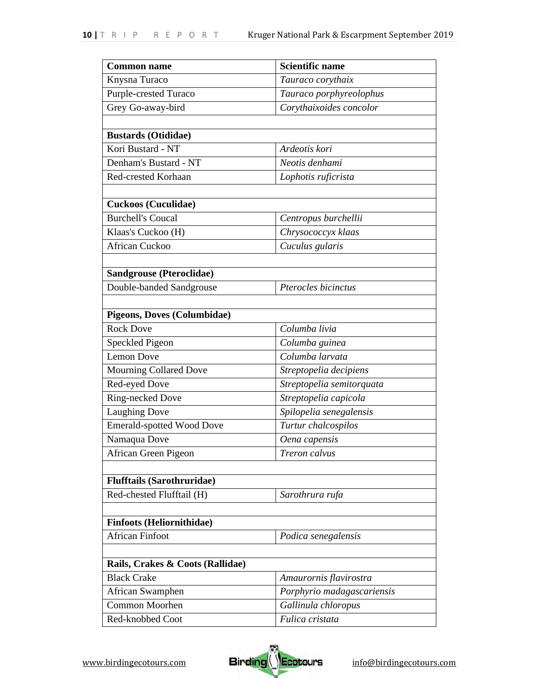| <b>Common name</b>                 | <b>Scientific name</b>     |
|------------------------------------|----------------------------|
| Knysna Turaco                      | Tauraco corythaix          |
| Purple-crested Turaco              | Tauraco porphyreolophus    |
| Grey Go-away-bird                  | Corythaixoides concolor    |
|                                    |                            |
| <b>Bustards (Otididae)</b>         |                            |
| Kori Bustard - NT                  | Ardeotis kori              |
| Denham's Bustard - NT              | Neotis denhami             |
| Red-crested Korhaan                | Lophotis ruficrista        |
|                                    |                            |
| <b>Cuckoos (Cuculidae)</b>         |                            |
| <b>Burchell's Coucal</b>           | Centropus burchellii       |
| Klaas's Cuckoo (H)                 | Chrysococcyx klaas         |
| <b>African Cuckoo</b>              | Cuculus gularis            |
|                                    |                            |
| <b>Sandgrouse (Pteroclidae)</b>    |                            |
| Double-banded Sandgrouse           | Pterocles bicinctus        |
|                                    |                            |
| <b>Pigeons, Doves (Columbidae)</b> |                            |
| <b>Rock Dove</b>                   | Columba livia              |
| Speckled Pigeon                    | Columba guinea             |
| <b>Lemon Dove</b>                  | Columba larvata            |
| Mourning Collared Dove             | Streptopelia decipiens     |
| Red-eyed Dove                      | Streptopelia semitorquata  |
| Ring-necked Dove                   | Streptopelia capicola      |
| <b>Laughing Dove</b>               | Spilopelia senegalensis    |
| <b>Emerald-spotted Wood Dove</b>   | Turtur chalcospilos        |
| Namaqua Dove                       | Oena capensis              |
| African Green Pigeon               | Treron calvus              |
|                                    |                            |
| <b>Flufftails (Sarothruridae)</b>  |                            |
| Red-chested Flufftail (H)          | Sarothrura rufa            |
|                                    |                            |
| <b>Finfoots (Heliornithidae)</b>   |                            |
| <b>African Finfoot</b>             | Podica senegalensis        |
|                                    |                            |
| Rails, Crakes & Coots (Rallidae)   |                            |
| <b>Black Crake</b>                 | Amaurornis flavirostra     |
| African Swamphen                   | Porphyrio madagascariensis |
| Common Moorhen                     | Gallinula chloropus        |
| Red-knobbed Coot                   | Fulica cristata            |

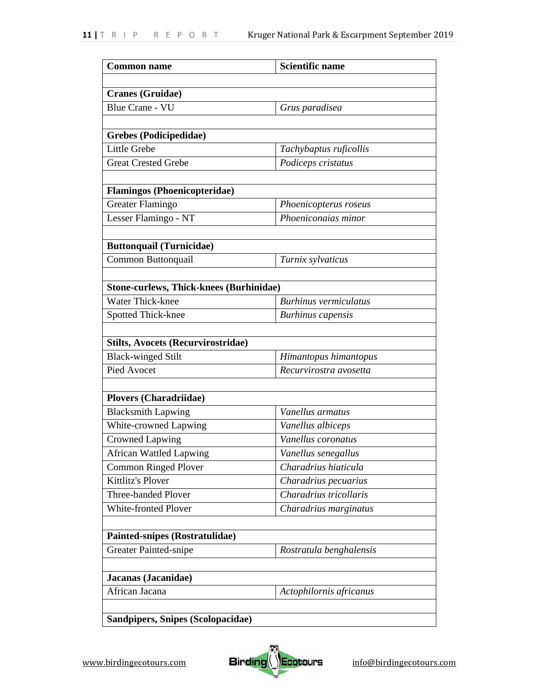| <b>Common name</b>                             | <b>Scientific name</b>       |
|------------------------------------------------|------------------------------|
|                                                |                              |
| <b>Cranes (Gruidae)</b>                        |                              |
| <b>Blue Crane - VU</b>                         | Grus paradisea               |
|                                                |                              |
| Grebes (Podicipedidae)                         |                              |
| Little Grebe                                   | Tachybaptus ruficollis       |
| <b>Great Crested Grebe</b>                     | Podiceps cristatus           |
|                                                |                              |
| <b>Flamingos (Phoenicopteridae)</b>            |                              |
| Greater Flamingo                               | Phoenicopterus roseus        |
| Lesser Flamingo - NT                           | Phoeniconaias minor          |
| <b>Buttonquail (Turnicidae)</b>                |                              |
| Common Buttonquail                             | Turnix sylvaticus            |
|                                                |                              |
| <b>Stone-curlews, Thick-knees (Burhinidae)</b> |                              |
| Water Thick-knee                               | <b>Burhinus vermiculatus</b> |
| Spotted Thick-knee                             | <b>Burhinus</b> capensis     |
|                                                |                              |
| <b>Stilts, Avocets (Recurvirostridae)</b>      |                              |
| <b>Black-winged Stilt</b>                      | Himantopus himantopus        |
| Pied Avocet                                    | Recurvirostra avosetta       |
|                                                |                              |
| <b>Plovers (Charadriidae)</b>                  |                              |
| <b>Blacksmith Lapwing</b>                      | Vanellus armatus             |
| White-crowned Lapwing                          | Vanellus albiceps            |
| <b>Crowned Lapwing</b>                         | Vanellus coronatus           |
| African Wattled Lapwing                        | Vanellus senegallus          |
| <b>Common Ringed Plover</b>                    | Charadrius hiaticula         |
| Kittlitz's Plover                              | Charadrius pecuarius         |
| Three-banded Plover                            | Charadrius tricollaris       |
| White-fronted Plover                           | Charadrius marginatus        |
|                                                |                              |
| Painted-snipes (Rostratulidae)                 |                              |
| Greater Painted-snipe                          | Rostratula benghalensis      |
|                                                |                              |
| Jacanas (Jacanidae)                            |                              |
| African Jacana                                 | Actophilornis africanus      |
|                                                |                              |
| Sandpipers, Snipes (Scolopacidae)              |                              |

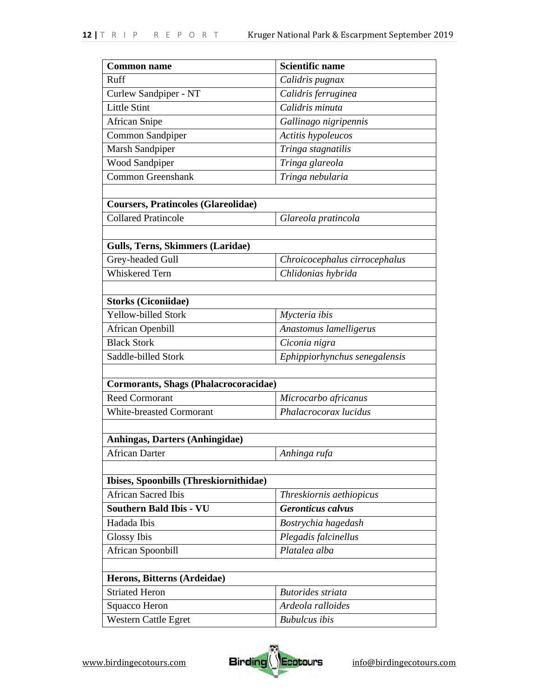| <b>Common name</b>                           | <b>Scientific name</b>        |
|----------------------------------------------|-------------------------------|
| Ruff                                         | Calidris pugnax               |
| Curlew Sandpiper - NT                        | Calidris ferruginea           |
| <b>Little Stint</b>                          | Calidris minuta               |
| <b>African Snipe</b>                         | Gallinago nigripennis         |
| Common Sandpiper                             | Actitis hypoleucos            |
| Marsh Sandpiper                              | Tringa stagnatilis            |
| <b>Wood Sandpiper</b>                        | Tringa glareola               |
| <b>Common Greenshank</b>                     | Tringa nebularia              |
|                                              |                               |
| <b>Coursers, Pratincoles (Glareolidae)</b>   |                               |
| <b>Collared Pratincole</b>                   | Glareola pratincola           |
|                                              |                               |
| <b>Gulls, Terns, Skimmers (Laridae)</b>      |                               |
| Grey-headed Gull                             | Chroicocephalus cirrocephalus |
| <b>Whiskered Tern</b>                        | Chlidonias hybrida            |
|                                              |                               |
| <b>Storks (Ciconiidae)</b>                   |                               |
| Yellow-billed Stork                          | Mycteria ibis                 |
| <b>African Openbill</b>                      | Anastomus lamelligerus        |
| <b>Black Stork</b>                           | Ciconia nigra                 |
| Saddle-billed Stork                          | Ephippiorhynchus senegalensis |
|                                              |                               |
| <b>Cormorants, Shags (Phalacrocoracidae)</b> |                               |
| <b>Reed Cormorant</b>                        | Microcarbo africanus          |
| White-breasted Cormorant                     | Phalacrocorax lucidus         |
|                                              |                               |
| Anhingas, Darters (Anhingidae)               |                               |
| <b>African Darter</b>                        | Anhinga rufa                  |
| Ibises, Spoonbills (Threskiornithidae)       |                               |
| <b>African Sacred Ibis</b>                   | Threskiornis aethiopicus      |
| <b>Southern Bald Ibis - VU</b>               | <b>Geronticus calvus</b>      |
| Hadada Ibis                                  | Bostrychia hagedash           |
| <b>Glossy Ibis</b>                           | Plegadis falcinellus          |
|                                              | Platalea alba                 |
| African Spoonbill                            |                               |
| Herons, Bitterns (Ardeidae)                  |                               |
| <b>Striated Heron</b>                        | <b>Butorides</b> striata      |
| Squacco Heron                                | Ardeola ralloides             |
| Western Cattle Egret                         | <b>Bubulcus</b> ibis          |
|                                              |                               |

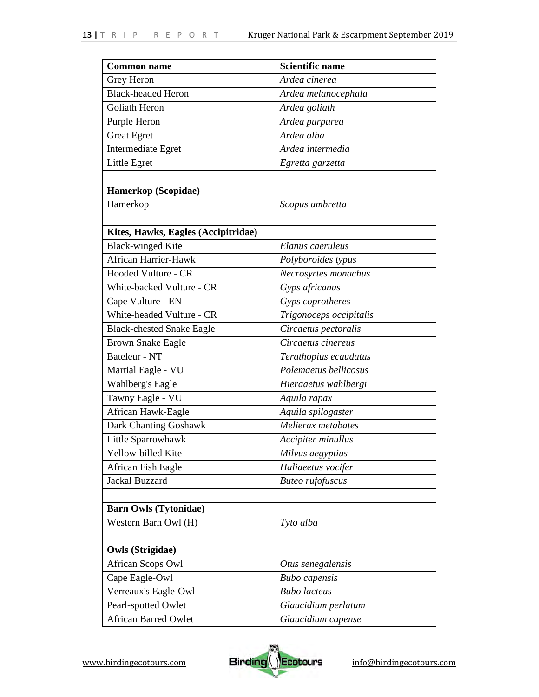| <b>Common name</b>                  | <b>Scientific name</b>  |
|-------------------------------------|-------------------------|
| Grey Heron                          | Ardea cinerea           |
| <b>Black-headed Heron</b>           | Ardea melanocephala     |
| Goliath Heron                       | Ardea goliath           |
| Purple Heron                        | Ardea purpurea          |
| <b>Great Egret</b>                  | Ardea alba              |
| Intermediate Egret                  | Ardea intermedia        |
| Little Egret                        | Egretta garzetta        |
|                                     |                         |
| Hamerkop (Scopidae)                 |                         |
| Hamerkop                            | Scopus umbretta         |
|                                     |                         |
| Kites, Hawks, Eagles (Accipitridae) |                         |
| <b>Black-winged Kite</b>            | Elanus caeruleus        |
| <b>African Harrier-Hawk</b>         | Polyboroides typus      |
| Hooded Vulture - CR                 | Necrosyrtes monachus    |
| White-backed Vulture - CR           | Gyps africanus          |
| Cape Vulture - EN                   | Gyps coprotheres        |
| White-headed Vulture - CR           | Trigonoceps occipitalis |
| <b>Black-chested Snake Eagle</b>    | Circaetus pectoralis    |
| <b>Brown Snake Eagle</b>            | Circaetus cinereus      |
| Bateleur - NT                       | Terathopius ecaudatus   |
| Martial Eagle - VU                  | Polemaetus bellicosus   |
| Wahlberg's Eagle                    | Hieraaetus wahlbergi    |
| Tawny Eagle - VU                    | Aquila rapax            |
| African Hawk-Eagle                  | Aquila spilogaster      |
| Dark Chanting Goshawk               | Melierax metabates      |
| Little Sparrowhawk                  | Accipiter minullus      |
| Yellow-billed Kite                  | Milvus aegyptius        |
| African Fish Eagle                  | Haliaeetus vocifer      |
| Jackal Buzzard                      | <b>Buteo</b> rufofuscus |
|                                     |                         |
| <b>Barn Owls (Tytonidae)</b>        |                         |
| Western Barn Owl (H)                | Tyto alba               |
|                                     |                         |
| <b>Owls (Strigidae)</b>             |                         |
| African Scops Owl                   | Otus senegalensis       |
| Cape Eagle-Owl                      | <b>Bubo</b> capensis    |
| Verreaux's Eagle-Owl                | <b>Bubo</b> lacteus     |
| Pearl-spotted Owlet                 | Glaucidium perlatum     |
| <b>African Barred Owlet</b>         | Glaucidium capense      |

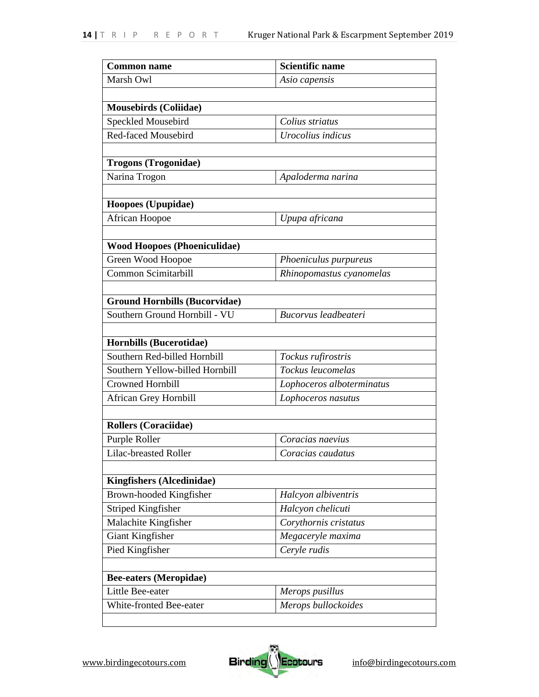| <b>Common name</b>                   | <b>Scientific name</b>    |
|--------------------------------------|---------------------------|
| Marsh Owl                            | Asio capensis             |
|                                      |                           |
| <b>Mousebirds (Coliidae)</b>         |                           |
| Speckled Mousebird                   | Colius striatus           |
| <b>Red-faced Mousebird</b>           | Urocolius indicus         |
|                                      |                           |
| <b>Trogons (Trogonidae)</b>          |                           |
| Narina Trogon                        | Apaloderma narina         |
|                                      |                           |
| Hoopoes (Upupidae)                   |                           |
| African Hoopoe                       | Upupa africana            |
|                                      |                           |
| <b>Wood Hoopoes (Phoeniculidae)</b>  |                           |
| Green Wood Hoopoe                    | Phoeniculus purpureus     |
| Common Scimitarbill                  | Rhinopomastus cyanomelas  |
|                                      |                           |
| <b>Ground Hornbills (Bucorvidae)</b> |                           |
| Southern Ground Hornbill - VU        | Bucorvus leadbeateri      |
|                                      |                           |
| <b>Hornbills (Bucerotidae)</b>       |                           |
| Southern Red-billed Hornbill         | Tockus rufirostris        |
| Southern Yellow-billed Hornbill      | Tockus leucomelas         |
| <b>Crowned Hornbill</b>              | Lophoceros alboterminatus |
| <b>African Grey Hornbill</b>         | Lophoceros nasutus        |
|                                      |                           |
| <b>Rollers (Coraciidae)</b>          |                           |
| Purple Roller                        | Coracias naevius          |
| Lilac-breasted Roller                | Coracias caudatus         |
|                                      |                           |
| <b>Kingfishers (Alcedinidae)</b>     |                           |
| Brown-hooded Kingfisher              | Halcyon albiventris       |
| <b>Striped Kingfisher</b>            | Halcyon chelicuti         |
| Malachite Kingfisher                 | Corythornis cristatus     |
| Giant Kingfisher                     | Megaceryle maxima         |
| Pied Kingfisher                      | Ceryle rudis              |
|                                      |                           |
| <b>Bee-eaters (Meropidae)</b>        |                           |
| Little Bee-eater                     | Merops pusillus           |
| White-fronted Bee-eater              | Merops bullockoides       |
|                                      |                           |

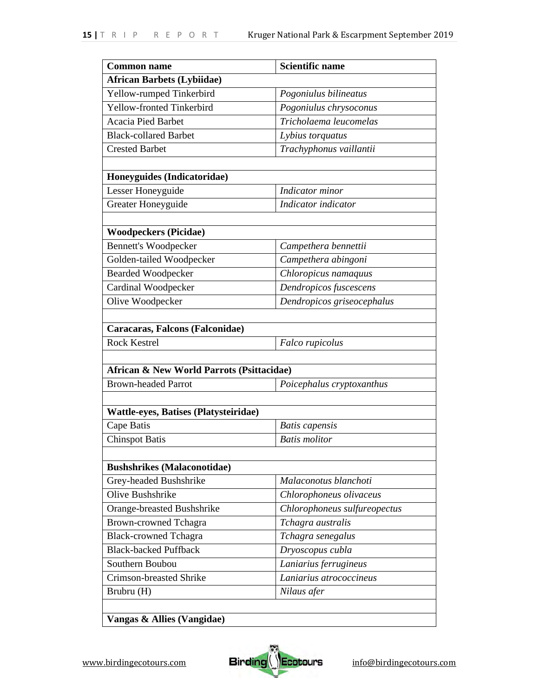| <b>Common name</b>                           | Scientific name              |
|----------------------------------------------|------------------------------|
| <b>African Barbets (Lybiidae)</b>            |                              |
| Yellow-rumped Tinkerbird                     | Pogoniulus bilineatus        |
| Yellow-fronted Tinkerbird                    | Pogoniulus chrysoconus       |
| <b>Acacia Pied Barbet</b>                    | Tricholaema leucomelas       |
| <b>Black-collared Barbet</b>                 | Lybius torquatus             |
| <b>Crested Barbet</b>                        | Trachyphonus vaillantii      |
|                                              |                              |
| Honeyguides (Indicatoridae)                  |                              |
| Lesser Honeyguide                            | Indicator minor              |
| Greater Honeyguide                           | Indicator indicator          |
|                                              |                              |
| <b>Woodpeckers (Picidae)</b>                 |                              |
| <b>Bennett's Woodpecker</b>                  | Campethera bennettii         |
| Golden-tailed Woodpecker                     | Campethera abingoni          |
| <b>Bearded Woodpecker</b>                    | Chloropicus namaquus         |
| Cardinal Woodpecker                          | Dendropicos fuscescens       |
| Olive Woodpecker                             | Dendropicos griseocephalus   |
|                                              |                              |
|                                              |                              |
| Caracaras, Falcons (Falconidae)              |                              |
| <b>Rock Kestrel</b>                          | Falco rupicolus              |
|                                              |                              |
| African & New World Parrots (Psittacidae)    |                              |
| <b>Brown-headed Parrot</b>                   | Poicephalus cryptoxanthus    |
|                                              |                              |
| <b>Wattle-eyes, Batises (Platysteiridae)</b> |                              |
| Cape Batis                                   | <b>Batis</b> capensis        |
| <b>Chinspot Batis</b>                        | <b>Batis</b> molitor         |
|                                              |                              |
| <b>Bushshrikes (Malaconotidae)</b>           |                              |
| Grey-headed Bushshrike                       | Malaconotus blanchoti        |
| Olive Bushshrike                             | Chlorophoneus olivaceus      |
| Orange-breasted Bushshrike                   | Chlorophoneus sulfureopectus |
| <b>Brown-crowned Tchagra</b>                 | Tchagra australis            |
| <b>Black-crowned Tchagra</b>                 | Tchagra senegalus            |
| <b>Black-backed Puffback</b>                 | Dryoscopus cubla             |
| Southern Boubou                              | Laniarius ferrugineus        |
| <b>Crimson-breasted Shrike</b>               | Laniarius atrococcineus      |
| Brubru (H)                                   | Nilaus afer                  |

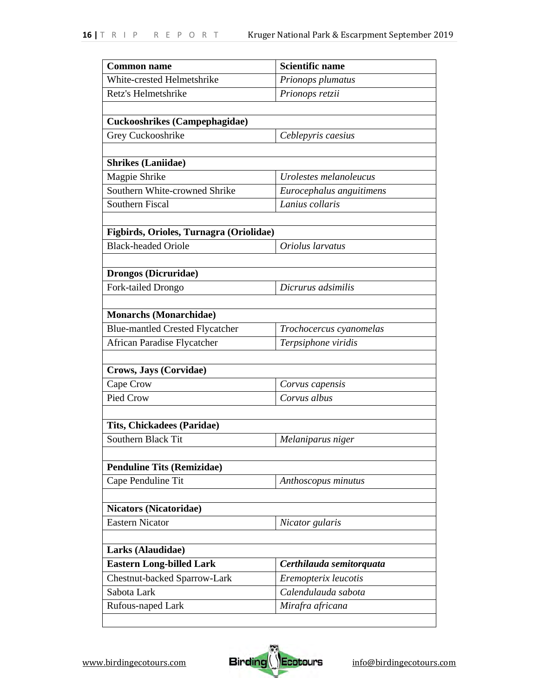| <b>Common name</b>                      | <b>Scientific name</b>   |
|-----------------------------------------|--------------------------|
| White-crested Helmetshrike              | Prionops plumatus        |
| Retz's Helmetshrike                     | Prionops retzii          |
|                                         |                          |
| <b>Cuckooshrikes (Campephagidae)</b>    |                          |
| Grey Cuckooshrike                       | Ceblepyris caesius       |
|                                         |                          |
| <b>Shrikes (Laniidae)</b>               |                          |
| Magpie Shrike                           | Urolestes melanoleucus   |
| Southern White-crowned Shrike           | Eurocephalus anguitimens |
| Southern Fiscal                         | Lanius collaris          |
|                                         |                          |
| Figbirds, Orioles, Turnagra (Oriolidae) |                          |
| <b>Black-headed Oriole</b>              | Oriolus larvatus         |
|                                         |                          |
| <b>Drongos (Dicruridae)</b>             |                          |
| Fork-tailed Drongo                      | Dicrurus adsimilis       |
|                                         |                          |
| <b>Monarchs (Monarchidae)</b>           |                          |
| <b>Blue-mantled Crested Flycatcher</b>  | Trochocercus cyanomelas  |
| African Paradise Flycatcher             | Terpsiphone viridis      |
|                                         |                          |
| Crows, Jays (Corvidae)                  |                          |
| Cape Crow                               | Corvus capensis          |
| Pied Crow                               | Corvus albus             |
| <b>Tits, Chickadees (Paridae)</b>       |                          |
| Southern Black Tit                      |                          |
|                                         | Melaniparus niger        |
| <b>Penduline Tits (Remizidae)</b>       |                          |
| Cape Penduline Tit                      | Anthoscopus minutus      |
|                                         |                          |
| <b>Nicators (Nicatoridae)</b>           |                          |
| <b>Eastern Nicator</b>                  | Nicator gularis          |
|                                         |                          |
| Larks (Alaudidae)                       |                          |
| <b>Eastern Long-billed Lark</b>         | Certhilauda semitorquata |
| Chestnut-backed Sparrow-Lark            | Eremopterix leucotis     |
| Sabota Lark                             | Calendulauda sabota      |
| Rufous-naped Lark                       | Mirafra africana         |
|                                         |                          |

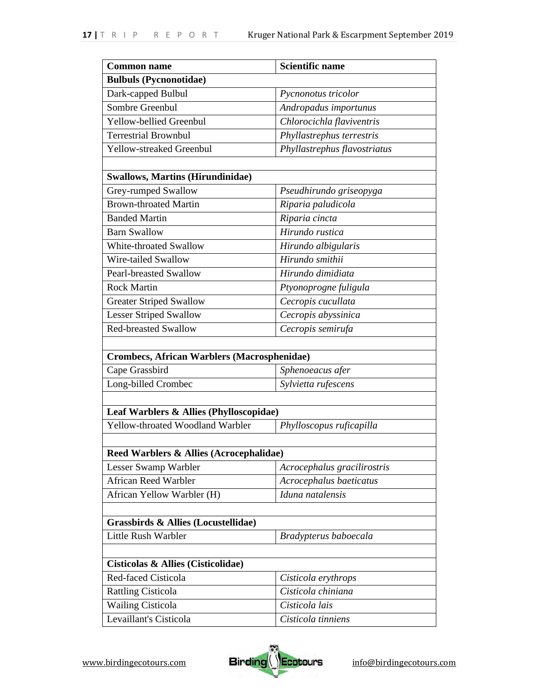| <b>Common name</b>                                 | <b>Scientific name</b>       |
|----------------------------------------------------|------------------------------|
| <b>Bulbuls (Pycnonotidae)</b>                      |                              |
| Dark-capped Bulbul                                 | Pycnonotus tricolor          |
| Sombre Greenbul                                    | Andropadus importunus        |
| Yellow-bellied Greenbul                            | Chlorocichla flaviventris    |
| <b>Terrestrial Brownbul</b>                        | Phyllastrephus terrestris    |
| Yellow-streaked Greenbul                           | Phyllastrephus flavostriatus |
|                                                    |                              |
| <b>Swallows, Martins (Hirundinidae)</b>            |                              |
| Grey-rumped Swallow                                | Pseudhirundo griseopyga      |
| <b>Brown-throated Martin</b>                       | Riparia paludicola           |
| <b>Banded Martin</b>                               | Riparia cincta               |
| <b>Barn Swallow</b>                                | Hirundo rustica              |
| White-throated Swallow                             | Hirundo albigularis          |
| Wire-tailed Swallow                                | Hirundo smithii              |
| <b>Pearl-breasted Swallow</b>                      | Hirundo dimidiata            |
| <b>Rock Martin</b>                                 | Ptyonoprogne fuligula        |
| <b>Greater Striped Swallow</b>                     | Cecropis cucullata           |
| <b>Lesser Striped Swallow</b>                      | Cecropis abyssinica          |
| <b>Red-breasted Swallow</b>                        | Cecropis semirufa            |
|                                                    |                              |
| <b>Crombecs, African Warblers (Macrosphenidae)</b> |                              |
| Cape Grassbird                                     | Sphenoeacus afer             |
| Long-billed Crombec                                | Sylvietta rufescens          |
|                                                    |                              |
| Leaf Warblers & Allies (Phylloscopidae)            |                              |
| Yellow-throated Woodland Warbler                   | Phylloscopus ruficapilla     |
|                                                    |                              |
| Reed Warblers & Allies (Acrocephalidae)            |                              |
| Lesser Swamp Warbler                               | Acrocephalus gracilirostris  |
| African Reed Warbler                               | Acrocephalus baeticatus      |
| African Yellow Warbler (H)                         | Iduna natalensis             |
|                                                    |                              |
| Grassbirds & Allies (Locustellidae)                |                              |
| Little Rush Warbler                                | Bradypterus baboecala        |
|                                                    |                              |
| Cisticolas & Allies (Cisticolidae)                 |                              |
| Red-faced Cisticola                                | Cisticola erythrops          |
| <b>Rattling Cisticola</b>                          | Cisticola chiniana           |
| <b>Wailing Cisticola</b>                           | Cisticola lais               |
| Levaillant's Cisticola                             | Cisticola tinniens           |

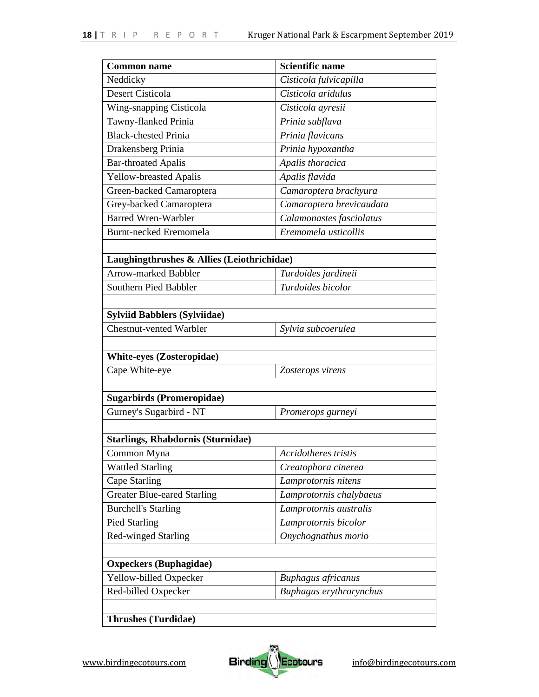| <b>Common name</b>                         | <b>Scientific name</b>    |
|--------------------------------------------|---------------------------|
| Neddicky                                   | Cisticola fulvicapilla    |
| Desert Cisticola                           | Cisticola aridulus        |
| Wing-snapping Cisticola                    | Cisticola ayresii         |
| Tawny-flanked Prinia                       | Prinia subflava           |
| <b>Black-chested Prinia</b>                | Prinia flavicans          |
| Drakensberg Prinia                         | Prinia hypoxantha         |
| <b>Bar-throated Apalis</b>                 | Apalis thoracica          |
| <b>Yellow-breasted Apalis</b>              | Apalis flavida            |
| Green-backed Camaroptera                   | Camaroptera brachyura     |
| Grey-backed Camaroptera                    | Camaroptera brevicaudata  |
| <b>Barred Wren-Warbler</b>                 | Calamonastes fasciolatus  |
| <b>Burnt-necked Eremomela</b>              | Eremomela usticollis      |
|                                            |                           |
| Laughingthrushes & Allies (Leiothrichidae) |                           |
| <b>Arrow-marked Babbler</b>                | Turdoides jardineii       |
| Southern Pied Babbler                      | Turdoides bicolor         |
|                                            |                           |
| <b>Sylviid Babblers (Sylviidae)</b>        |                           |
| <b>Chestnut-vented Warbler</b>             | Sylvia subcoerulea        |
|                                            |                           |
| <b>White-eyes (Zosteropidae)</b>           |                           |
| Cape White-eye                             | Zosterops virens          |
|                                            |                           |
| <b>Sugarbirds (Promeropidae)</b>           |                           |
| Gurney's Sugarbird - NT                    | Promerops gurneyi         |
|                                            |                           |
| <b>Starlings, Rhabdornis (Sturnidae)</b>   |                           |
| Common Myna                                | Acridotheres tristis      |
| <b>Wattled Starling</b>                    | Creatophora cinerea       |
| <b>Cape Starling</b>                       | Lamprotornis nitens       |
| <b>Greater Blue-eared Starling</b>         | Lamprotornis chalybaeus   |
| <b>Burchell's Starling</b>                 | Lamprotornis australis    |
| <b>Pied Starling</b>                       | Lamprotornis bicolor      |
| <b>Red-winged Starling</b>                 | Onychognathus morio       |
|                                            |                           |
| <b>Oxpeckers (Buphagidae)</b>              |                           |
| Yellow-billed Oxpecker                     | <b>Buphagus africanus</b> |
| Red-billed Oxpecker                        | Buphagus erythrorynchus   |
|                                            |                           |
| <b>Thrushes (Turdidae)</b>                 |                           |

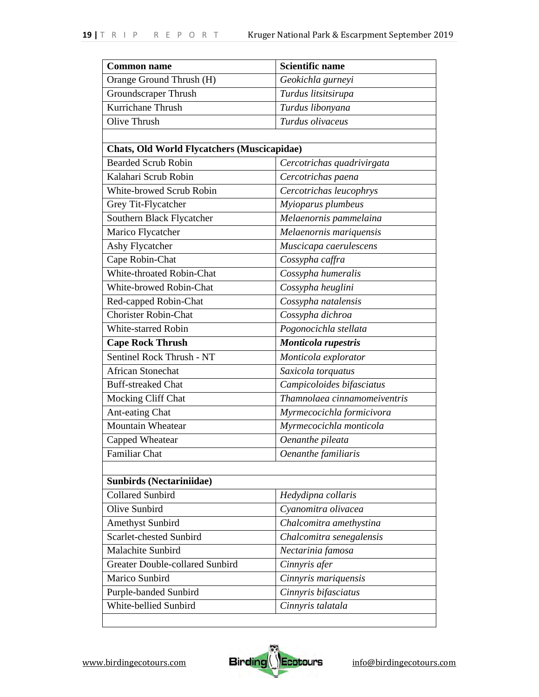| <b>Common name</b>                                 | <b>Scientific name</b>       |
|----------------------------------------------------|------------------------------|
| Orange Ground Thrush (H)                           | Geokichla gurneyi            |
| Groundscraper Thrush                               | Turdus litsitsirupa          |
| Kurrichane Thrush                                  | Turdus libonyana             |
| Olive Thrush                                       | Turdus olivaceus             |
|                                                    |                              |
| <b>Chats, Old World Flycatchers (Muscicapidae)</b> |                              |
| <b>Bearded Scrub Robin</b>                         | Cercotrichas quadrivirgata   |
| Kalahari Scrub Robin                               | Cercotrichas paena           |
| White-browed Scrub Robin                           | Cercotrichas leucophrys      |
| Grey Tit-Flycatcher                                | Myioparus plumbeus           |
| Southern Black Flycatcher                          | Melaenornis pammelaina       |
| Marico Flycatcher                                  | Melaenornis mariquensis      |
| Ashy Flycatcher                                    | Muscicapa caerulescens       |
| Cape Robin-Chat                                    | Cossypha caffra              |
| White-throated Robin-Chat                          | Cossypha humeralis           |
| White-browed Robin-Chat                            | Cossypha heuglini            |
| Red-capped Robin-Chat                              | Cossypha natalensis          |
| <b>Chorister Robin-Chat</b>                        | Cossypha dichroa             |
| White-starred Robin                                | Pogonocichla stellata        |
| <b>Cape Rock Thrush</b>                            | Monticola rupestris          |
| Sentinel Rock Thrush - NT                          | Monticola explorator         |
| <b>African Stonechat</b>                           | Saxicola torquatus           |
| <b>Buff-streaked Chat</b>                          | Campicoloides bifasciatus    |
| Mocking Cliff Chat                                 | Thamnolaea cinnamomeiventris |
| Ant-eating Chat                                    | Myrmecocichla formicivora    |
| Mountain Wheatear                                  | Myrmecocichla monticola      |
| Capped Wheatear                                    | Oenanthe pileata             |
| Familiar Chat                                      | Oenanthe familiaris          |
|                                                    |                              |
| <b>Sunbirds (Nectariniidae)</b>                    |                              |
| <b>Collared Sunbird</b>                            | Hedydipna collaris           |
| Olive Sunbird                                      | Cyanomitra olivacea          |
| <b>Amethyst Sunbird</b>                            | Chalcomitra amethystina      |
| Scarlet-chested Sunbird                            | Chalcomitra senegalensis     |
| Malachite Sunbird                                  | Nectarinia famosa            |
| Greater Double-collared Sunbird                    | Cinnyris afer                |
| Marico Sunbird                                     | Cinnyris mariquensis         |
| Purple-banded Sunbird                              | Cinnyris bifasciatus         |
| White-bellied Sunbird                              | Cinnyris talatala            |

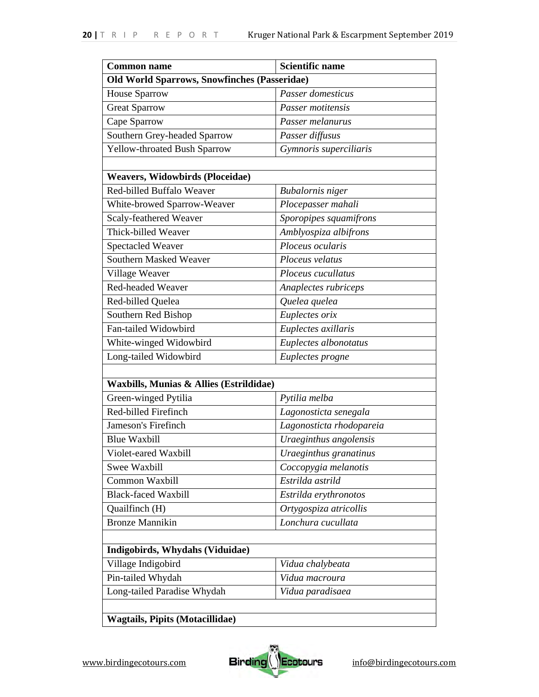| <b>Old World Sparrows, Snowfinches (Passeridae)</b><br>Passer domesticus<br>Passer motitensis<br>Passer melanurus<br>Passer diffusus |
|--------------------------------------------------------------------------------------------------------------------------------------|
|                                                                                                                                      |
|                                                                                                                                      |
|                                                                                                                                      |
|                                                                                                                                      |
|                                                                                                                                      |
| Gymnoris superciliaris                                                                                                               |
|                                                                                                                                      |
| <b>Weavers, Widowbirds (Ploceidae)</b>                                                                                               |
| <b>Bubalornis</b> niger                                                                                                              |
| Plocepasser mahali                                                                                                                   |
| Sporopipes squamifrons                                                                                                               |
| Amblyospiza albifrons                                                                                                                |
| Ploceus ocularis                                                                                                                     |
| Ploceus velatus                                                                                                                      |
| Ploceus cucullatus                                                                                                                   |
| Anaplectes rubriceps                                                                                                                 |
| Quelea quelea                                                                                                                        |
| Euplectes orix                                                                                                                       |
| Euplectes axillaris                                                                                                                  |
| Euplectes albonotatus                                                                                                                |
| Euplectes progne                                                                                                                     |
|                                                                                                                                      |
| Waxbills, Munias & Allies (Estrildidae)                                                                                              |
| Pytilia melba                                                                                                                        |
| Lagonosticta senegala                                                                                                                |
| Lagonosticta rhodopareia                                                                                                             |
| Uraeginthus angolensis                                                                                                               |
| Uraeginthus granatinus                                                                                                               |
| Coccopygia melanotis                                                                                                                 |
| Estrilda astrild                                                                                                                     |
| Estrilda erythronotos                                                                                                                |
| Ortygospiza atricollis                                                                                                               |
| Lonchura cucullata                                                                                                                   |
|                                                                                                                                      |
| Indigobirds, Whydahs (Viduidae)                                                                                                      |
| Vidua chalybeata                                                                                                                     |
| Vidua macroura                                                                                                                       |
| Vidua paradisaea                                                                                                                     |
|                                                                                                                                      |
|                                                                                                                                      |

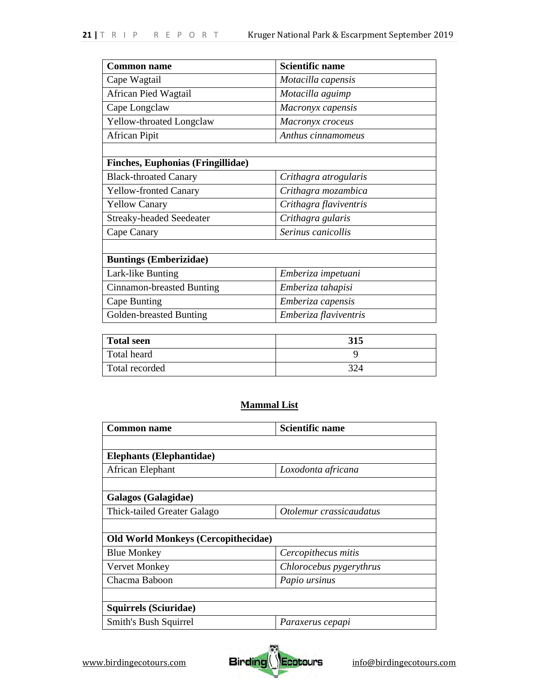| <b>Common name</b>                       | <b>Scientific name</b> |
|------------------------------------------|------------------------|
| Cape Wagtail                             | Motacilla capensis     |
| African Pied Wagtail                     | Motacilla aguimp       |
| Cape Longclaw                            | Macronyx capensis      |
| Yellow-throated Longclaw                 | Macronyx croceus       |
| <b>African Pipit</b>                     | Anthus cinnamomeus     |
|                                          |                        |
| <b>Finches, Euphonias (Fringillidae)</b> |                        |
| <b>Black-throated Canary</b>             | Crithagra atrogularis  |
| <b>Yellow-fronted Canary</b>             | Crithagra mozambica    |
| <b>Yellow Canary</b>                     | Crithagra flaviventris |
| <b>Streaky-headed Seedeater</b>          | Crithagra gularis      |
| Cape Canary                              | Serinus canicollis     |
|                                          |                        |
| <b>Buntings (Emberizidae)</b>            |                        |
| Lark-like Bunting                        | Emberiza impetuani     |
| Cinnamon-breasted Bunting                | Emberiza tahapisi      |
| Cape Bunting                             | Emberiza capensis      |
| Golden-breasted Bunting                  | Emberiza flaviventris  |

| Total seen     | 315 |
|----------------|-----|
| Total heard    |     |
| Total recorded | 324 |

# **Mammal List**

| Common name                                | Scientific name         |
|--------------------------------------------|-------------------------|
|                                            |                         |
| <b>Elephants (Elephantidae)</b>            |                         |
| African Elephant                           | Loxodonta africana      |
|                                            |                         |
| Galagos (Galagidae)                        |                         |
| Thick-tailed Greater Galago                | Otolemur crassicaudatus |
|                                            |                         |
| <b>Old World Monkeys (Cercopithecidae)</b> |                         |
| <b>Blue Monkey</b>                         | Cercopithecus mitis     |
| Vervet Monkey                              | Chlorocebus pygerythrus |
| Chacma Baboon                              | Papio ursinus           |
|                                            |                         |
| Squirrels (Sciuridae)                      |                         |
| Smith's Bush Squirrel                      | Paraxerus cepapi        |

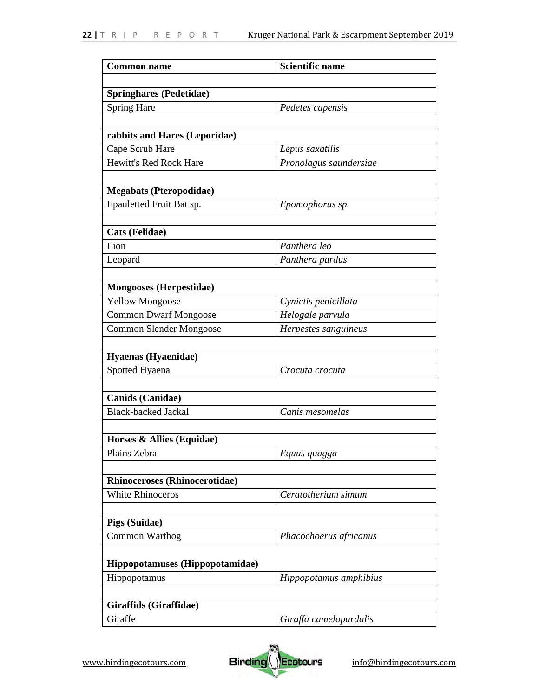| <b>Common name</b>                   | <b>Scientific name</b> |
|--------------------------------------|------------------------|
|                                      |                        |
| <b>Springhares (Pedetidae)</b>       |                        |
| <b>Spring Hare</b>                   | Pedetes capensis       |
|                                      |                        |
| rabbits and Hares (Leporidae)        |                        |
| Cape Scrub Hare                      | Lepus saxatilis        |
| <b>Hewitt's Red Rock Hare</b>        | Pronolagus saundersiae |
|                                      |                        |
| <b>Megabats (Pteropodidae)</b>       |                        |
| Epauletted Fruit Bat sp.             | Epomophorus sp.        |
|                                      |                        |
| <b>Cats (Felidae)</b>                |                        |
| Lion                                 | Panthera leo           |
| Leopard                              | Panthera pardus        |
|                                      |                        |
| <b>Mongooses (Herpestidae)</b>       | Cynictis penicillata   |
| <b>Yellow Mongoose</b>               |                        |
| <b>Common Dwarf Mongoose</b>         | Helogale parvula       |
| <b>Common Slender Mongoose</b>       | Herpestes sanguineus   |
| Hyaenas (Hyaenidae)                  |                        |
| Spotted Hyaena                       | Crocuta crocuta        |
|                                      |                        |
| <b>Canids</b> (Canidae)              |                        |
| <b>Black-backed Jackal</b>           | Canis mesomelas        |
|                                      |                        |
| Horses & Allies (Equidae)            |                        |
| Plains Zebra                         | Equus quagga           |
|                                      |                        |
| <b>Rhinoceroses (Rhinocerotidae)</b> |                        |
| <b>White Rhinoceros</b>              | Ceratotherium simum    |
|                                      |                        |
| Pigs (Suidae)                        |                        |
| Common Warthog                       | Phacochoerus africanus |
|                                      |                        |
| Hippopotamuses (Hippopotamidae)      |                        |
| Hippopotamus                         | Hippopotamus amphibius |
|                                      |                        |
| Giraffids (Giraffidae)               |                        |
| Giraffe                              | Giraffa camelopardalis |